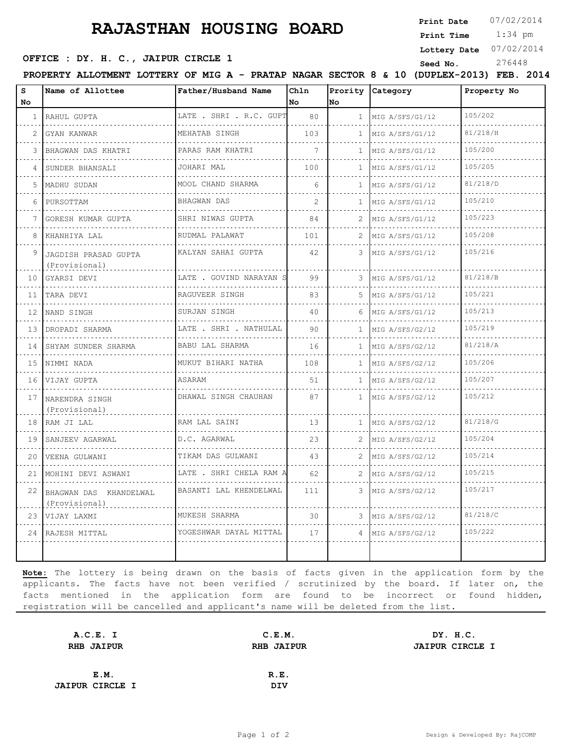# **RAJASTHAN HOUSING BOARD**

**Print Date**  $07/02/2014$ 

 1:34 pm **Print Time**

**Lottery Date** 07/02/2014

**SEED OFFICE : DY. H. C., JAIPUR CIRCLE 1** Seed No. 276448

| s<br><b>No</b> | Name of Allottee                              | Father/Husband Name          | Chln<br>No    | lno          | Prority Category           | Property No |
|----------------|-----------------------------------------------|------------------------------|---------------|--------------|----------------------------|-------------|
|                | 1 RAHUL GUPTA                                 | LATE . SHRI . R.C. GUPT<br>. | 80            |              | 1 MIG A/SFS/G1/12          | 105/202     |
| 2              | GYAN KANWAR<br>.                              | MEHATAB SINGH                | 103           |              | $1$   MIG A/SFS/G1/12<br>. | 81/218/H    |
|                | BHAGWAN DAS KHATRI                            | PARAS RAM KHATRI             | 7             | $\mathbf{1}$ | MIG A/SFS/G1/12            | 105/200     |
| 4              | SUNDER BHANSALI                               | .<br>JOHARI MAL              | 100           | $\mathbf{1}$ | MIG A/SFS/G1/12            | 105/205     |
|                | 5   MADHU SUDAN                               | MOOL CHAND SHARMA            | 6             | $\mathbf{1}$ | MIG A/SFS/G1/12            | 81/218/D    |
|                | 6 PURSOTTAM                                   | .<br>BHAGWAN DAS             | $\mathcal{L}$ | $\mathbf{1}$ | .<br>MIG A/SFS/G1/12       | 105/210     |
|                | 7 GORESH KUMAR GUPTA                          | .<br>SHRI NIWAS GUPTA        | 84            | 2.           | .<br>MIG A/SFS/G1/12       | 105/223     |
| 8              | KHANHIYA LAL                                  | .<br>RUDMAL PALAWAT          | 101           |              | MIG A/SFS/G1/12            | 105/208     |
|                | 9 JAGDISH PRASAD GUPTA<br>(Provisional)       | .<br>KALYAN SAHAI GUPTA      | 42            |              | 3 MIG A/SFS/G1/12          | 105/216     |
|                | 10 GYARSI DEVI                                | LATE . GOVIND NARAYAN S<br>. | 99            | 3            | MIG A/SFS/G1/12<br>.       | 81/218/B    |
|                | 11 TARA DEVI                                  | RAGUVEER SINGH               | 83            | 5            | MIG A/SFS/G1/12            | 105/221     |
| 12             | NAND SINGH                                    | SURJAN SINGH                 | 40            | 6.           | MIG A/SFS/G1/12            | 105/213     |
|                | 13 DROPADI SHARMA                             | LATE . SHRI . NATHULAL       | 90            | $\mathbf{1}$ | MIG A/SFS/G2/12            | 105/219     |
|                | 14 SHYAM SUNDER SHARMA                        | BABU LAL SHARMA              | 16            | $\mathbf{1}$ | MIG A/SFS/G2/12            | 81/218/A    |
|                | 15 INIMMI NADA                                | MUKUT BIHARI NATHA           | 108           | $\mathbf{1}$ | MIG A/SFS/G2/12            | 105/206     |
|                | 16 VIJAY GUPTA                                | ASARAM                       | 51            |              | 1   MIG $A/SFS/G2/12$      | 105/207     |
|                | <sup>17</sup> NARENDRA SINGH<br>(Provisional) | DHAWAL SINGH CHAUHAN         | 87            |              | 1 MIG A/SFS/G2/12          | 105/212     |
|                | 18 RAM JI LAL                                 | RAM LAL SAINI                | 13            | $\mathbf{1}$ | MIG A/SFS/G2/12            | 81/218/G    |
|                | 19 SANJEEV AGARWAL                            | D.C. AGARWAL                 | 23            | $\mathbf{2}$ | MIG A/SFS/G2/12            | 105/204     |
| 20             | VEENA GULWANI                                 | TIKAM DAS GULWANI<br>.       | 43            | 2            | MIG A/SFS/G2/12            | 105/214     |
|                | 21   MOHINI DEVI ASWANI                       | LATE . SHRI CHELA RAM A      | 62            |              | 2   MIG A/SFS/G2/12        | 105/215     |
|                | 22 BHAGWAN DAS KHANDELWAL<br>(Provisional)    | BASANTI LAL KHENDELWAL<br>.  | 111           | 3.           | MIG A/SFS/G2/12            | 105/217     |
|                | 23 VIJAY LAXMI                                | MUKESH SHARMA                | 30            |              | 3   MIG A/SFS/G2/12        | 81/218/C    |
|                | 24   RAJESH MITTAL                            | YOGESHWAR DAYAL MITTAL       | 17            | 4            | MIG A/SFS/G2/12            | 105/222     |

**Note:** The lottery is being drawn on the basis of facts given in the application form by the applicants. The facts have not been verified / scrutinized by the board. If later on, the facts mentioned in the application form are found to be incorrect or found hidden, registration will be cancelled and applicant's name will be deleted from the list.

| A.C.E. I               | C.E.M. | DY. H.C.               |
|------------------------|--------|------------------------|
| RHB JAIPUR             |        | <b>JAIPUR CIRCLE I</b> |
|                        |        |                        |
| E.M.                   | R.E.   |                        |
| <b>JAIPUR CIRCLE I</b> | DIV    |                        |
|                        |        | <b>RHB JAIPUR</b>      |